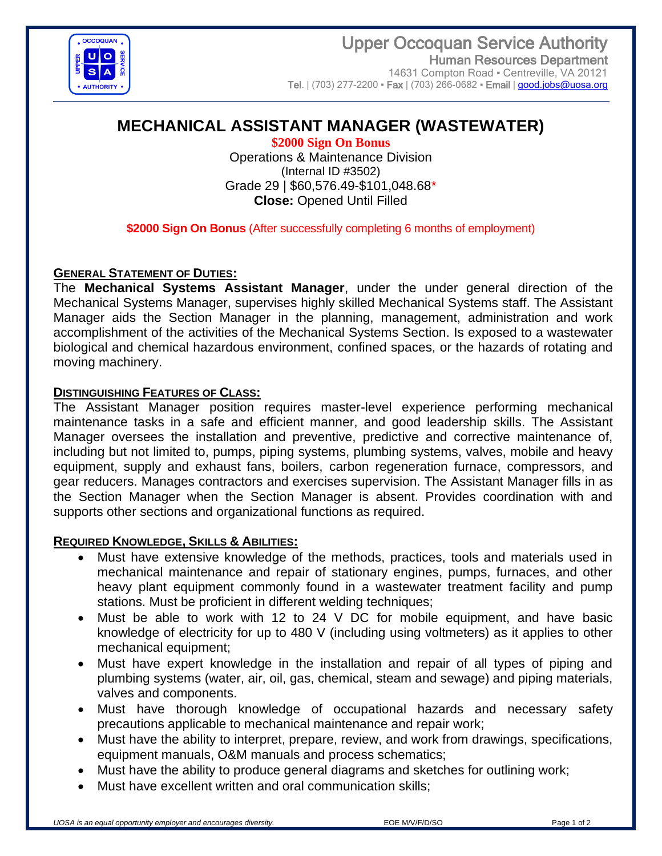

# **MECHANICAL ASSISTANT MANAGER (WASTEWATER)**

**\$2000 Sign On Bonus** Operations & Maintenance Division (Internal ID #3502) Grade 29 | \$60,576.49-\$101,048.68\* **Close:** Opened Until Filled

**\$2000 Sign On Bonus** (After successfully completing 6 months of employment)

### **GENERAL STATEMENT OF DUTIES:**

The **Mechanical Systems Assistant Manager**, under the under general direction of the Mechanical Systems Manager, supervises highly skilled Mechanical Systems staff. The Assistant Manager aids the Section Manager in the planning, management, administration and work accomplishment of the activities of the Mechanical Systems Section. Is exposed to a wastewater biological and chemical hazardous environment, confined spaces, or the hazards of rotating and moving machinery.

### **DISTINGUISHING FEATURES OF CLASS:**

The Assistant Manager position requires master-level experience performing mechanical maintenance tasks in a safe and efficient manner, and good leadership skills. The Assistant Manager oversees the installation and preventive, predictive and corrective maintenance of, including but not limited to, pumps, piping systems, plumbing systems, valves, mobile and heavy equipment, supply and exhaust fans, boilers, carbon regeneration furnace, compressors, and gear reducers. Manages contractors and exercises supervision. The Assistant Manager fills in as the Section Manager when the Section Manager is absent. Provides coordination with and supports other sections and organizational functions as required.

### **REQUIRED KNOWLEDGE, SKILLS & ABILITIES:**

- Must have extensive knowledge of the methods, practices, tools and materials used in mechanical maintenance and repair of stationary engines, pumps, furnaces, and other heavy plant equipment commonly found in a wastewater treatment facility and pump stations. Must be proficient in different welding techniques;
- Must be able to work with 12 to 24 V DC for mobile equipment, and have basic knowledge of electricity for up to 480 V (including using voltmeters) as it applies to other mechanical equipment;
- Must have expert knowledge in the installation and repair of all types of piping and plumbing systems (water, air, oil, gas, chemical, steam and sewage) and piping materials, valves and components.
- Must have thorough knowledge of occupational hazards and necessary safety precautions applicable to mechanical maintenance and repair work;
- Must have the ability to interpret, prepare, review, and work from drawings, specifications, equipment manuals, O&M manuals and process schematics;
- Must have the ability to produce general diagrams and sketches for outlining work;
- Must have excellent written and oral communication skills: